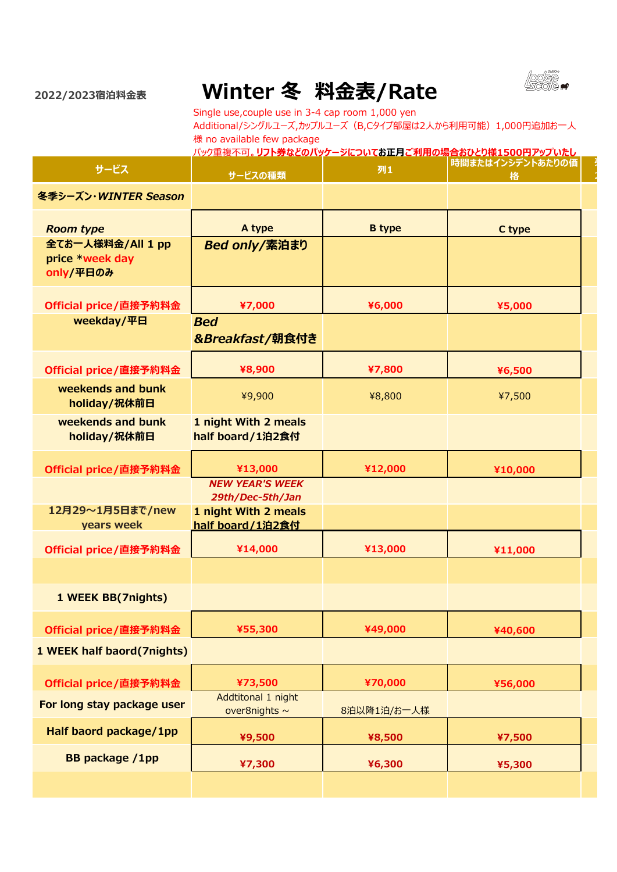

**列 2**

**2022/2023宿泊料金表**

## **Winter 冬 料金表/Rate**

Single use,couple use in 3-4 cap room 1,000 yen Additional/シングルユーズ,カップルユーズ (B,Cタイプ部屋は2人から利用可能) 1,000円追加お一人 様 no available few package

|                                                                       | <u>パック重複不可。リフト券などのパッケージについてお正月ご利用の場合おひとり様1500円アップいたし</u> |               |                       |
|-----------------------------------------------------------------------|----------------------------------------------------------|---------------|-----------------------|
| サービス                                                                  | サービスの種類                                                  | 列1            | 時間またはインシデントあたりの価<br>格 |
| 冬季シーズン·WINTER Season                                                  |                                                          |               |                       |
| <b>Room type</b><br>全てお一人様料金/All 1 pp<br>price *week day<br>only/平日のみ | A type<br><b>Bed only/素泊まり</b>                           | <b>B</b> type | C type                |
| Official price/直接予約料金                                                 | ¥7,000                                                   | ¥6,000        | ¥5,000                |
| weekday/平日                                                            | <b>Bed</b><br>&Breakfast/朝食付き                            |               |                       |
| Official price/直接予約料金                                                 | ¥8,900                                                   | ¥7,800        | ¥6,500                |
| weekends and bunk<br>holiday/祝休前日                                     | ¥9,900                                                   | ¥8,800        | ¥7,500                |
| weekends and bunk<br>holiday/祝休前日                                     | 1 night With 2 meals<br>half board/1泊2食付                 |               |                       |
| Official price/直接予約料金                                                 | ¥13,000                                                  | ¥12,000       | ¥10,000               |
|                                                                       | <b>NEW YEAR'S WEEK</b><br>29th/Dec-5th/Jan               |               |                       |
| 12月29~1月5日まで/new<br>years week                                        | 1 night With 2 meals<br>half board/1泊2食付                 |               |                       |
| Official price/直接予約料金                                                 | ¥14,000                                                  | ¥13,000       | ¥11,000               |
|                                                                       |                                                          |               |                       |
| 1 WEEK BB(7nights)                                                    |                                                          |               |                       |
| Official price/直接予約料金                                                 | ¥55,300                                                  | ¥49,000       | ¥40,600               |
| 1 WEEK half baord(7nights)                                            |                                                          |               |                       |
| Official price/直接予約料金                                                 | ¥73,500                                                  | ¥70,000       | ¥56,000               |
| For long stay package user                                            | Addtitonal 1 night<br>over8nights ~                      | 8泊以降1泊/お一人様   |                       |
| Half baord package/1pp                                                | ¥9,500                                                   | ¥8,500        | ¥7,500                |
| <b>BB</b> package /1pp                                                | ¥7,300                                                   | ¥6,300        | ¥5,300                |
|                                                                       |                                                          |               |                       |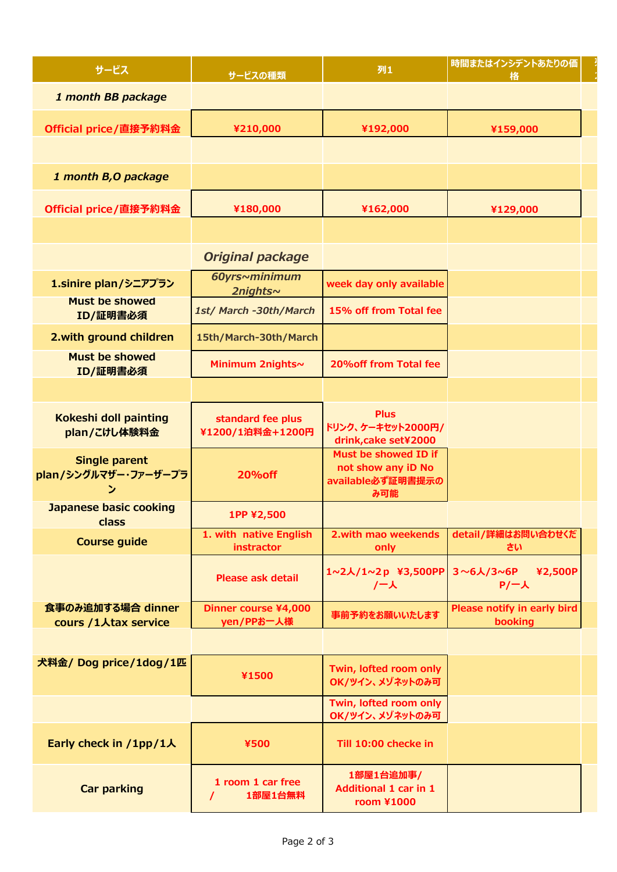| サービス                                              | サービスの種類                                  | 列1                                                                     | 時間またはインシデントあたりの価<br>格                  |
|---------------------------------------------------|------------------------------------------|------------------------------------------------------------------------|----------------------------------------|
| 1 month BB package                                |                                          |                                                                        |                                        |
| Official price/直接予約料金                             | ¥210,000                                 | ¥192,000                                                               | ¥159,000                               |
|                                                   |                                          |                                                                        |                                        |
| 1 month B, O package                              |                                          |                                                                        |                                        |
| Official price/直接予約料金                             | ¥180,000                                 | ¥162,000                                                               | ¥129,000                               |
|                                                   |                                          |                                                                        |                                        |
|                                                   | <b>Original package</b>                  |                                                                        |                                        |
| 1.sinire plan/シニアプラン                              | 60yrs~minimum<br><b>2nights~</b>         | week day only available                                                |                                        |
| <b>Must be showed</b><br>ID/証明書必須                 | 1st/ March -30th/March                   | 15% off from Total fee                                                 |                                        |
| 2. with ground children                           | 15th/March-30th/March                    |                                                                        |                                        |
| <b>Must be showed</b><br>ID/証明書必須                 | Minimum 2nights~                         | 20% off from Total fee                                                 |                                        |
|                                                   |                                          |                                                                        |                                        |
| Kokeshi doll painting<br>plan/こけし体験料金             | standard fee plus<br>¥1200/1泊料金+1200円    | <b>Plus</b><br>ドリンク、ケーキセット2000円/<br>drink, cake set¥2000               |                                        |
| <b>Single parent</b><br>plan/シングルマザー・ファーザープラ<br>ン | <b>20% off</b>                           | Must be showed ID if<br>not show any iD No<br>available必ず証明書提示の<br>み可能 |                                        |
| <b>Japanese basic cooking</b><br>class            | 1PP ¥2,500                               |                                                                        |                                        |
| <b>Course guide</b>                               | 1. with native English<br>instractor     | 2. with mao weekends<br>only                                           | detail/詳細はお問い合わせくだ<br>さい               |
|                                                   | <b>Please ask detail</b>                 | 1~2人/1~2p ¥3,500PP<br>/一人                                              | 3~6人/3~6P<br>¥2,500P<br>$P/-\lambda$   |
| 食事のみ追加する場合 dinner<br>cours /1人tax service         | Dinner course ¥4,000<br>yen/PPお一人様       | 事前予約をお願いいたします                                                          | Please notify in early bird<br>booking |
|                                                   |                                          |                                                                        |                                        |
| 犬料金/ Dog price/1dog/1匹                            | ¥1500                                    | Twin, lofted room only<br>OK/ツイン、メゾネットのみ可                              |                                        |
|                                                   |                                          | Twin, lofted room only<br>OK/ツイン、メゾネットのみ可                              |                                        |
| Early check in /1pp/1人                            | ¥500                                     | Till 10:00 checke in                                                   |                                        |
| <b>Car parking</b>                                | 1 room 1 car free<br>1部屋1台無料<br>$\prime$ | 1部屋1台追加事/<br><b>Additional 1 car in 1</b><br><b>room ¥1000</b>         |                                        |